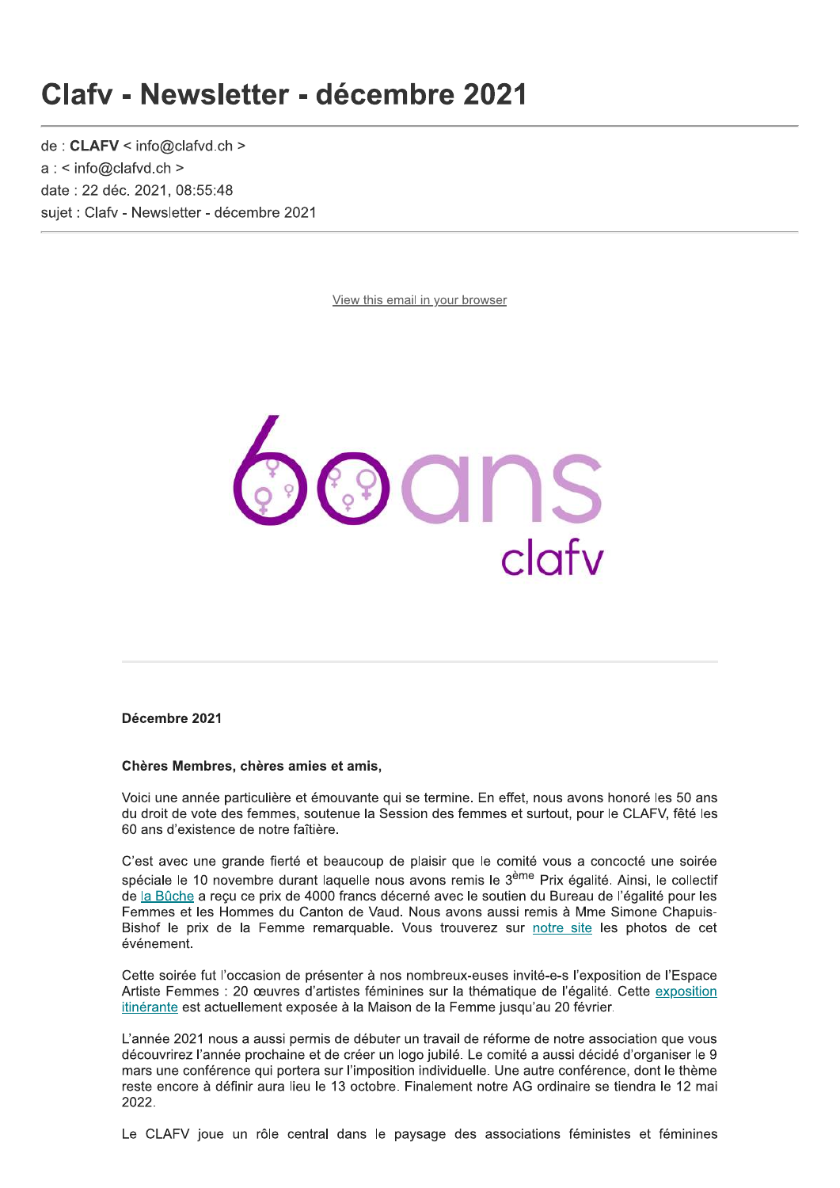# Clafy - Newsletter - décembre 2021

 $de: **CLAFV** < in  $\Omega$  clafvd.ch >$  $a:$  < info@clafvd.ch > date: 22 déc. 2021, 08:55:48 suiet : Clafy - Newsletter - décembre 2021

View this email in your browser



#### Décembre 2021

#### Chères Membres, chères amies et amis.

Voici une année particulière et émouvante qui se termine. En effet, nous avons honoré les 50 ans du droit de vote des femmes, soutenue la Session des femmes et surtout, pour le CLAFV, fêté les 60 ans d'existence de notre faîtière.

C'est avec une grande fierté et beaucoup de plaisir que le comité vous a concocté une soirée spéciale le 10 novembre durant laquelle nous avons remis le 3<sup>ème</sup> Prix égalité. Ainsi, le collectif de la Bûche a reçu ce prix de 4000 francs décerné avec le soutien du Bureau de l'égalité pour les Femmes et les Hommes du Canton de Vaud. Nous avons aussi remis à Mme Simone Chapuis-Bishof le prix de la Femme remarquable. Vous trouverez sur notre site les photos de cet événement.

Cette soirée fut l'occasion de présenter à nos nombreux-euses invité-e-s l'exposition de l'Espace Artiste Femmes : 20 œuvres d'artistes féminines sur la thématique de l'égalité. Cette exposition itinérante est actuellement exposée à la Maison de la Femme jusqu'au 20 février.

L'année 2021 nous a aussi permis de débuter un travail de réforme de notre association que vous découvrirez l'année prochaine et de créer un logo jubilé. Le comité a aussi décidé d'organiser le 9 mars une conférence qui portera sur l'imposition individuelle. Une autre conférence, dont le thème reste encore à définir aura lieu le 13 octobre. Finalement notre AG ordinaire se tiendra le 12 mai 2022.

Le CLAFV joue un rôle central dans le paysage des associations féministes et féminines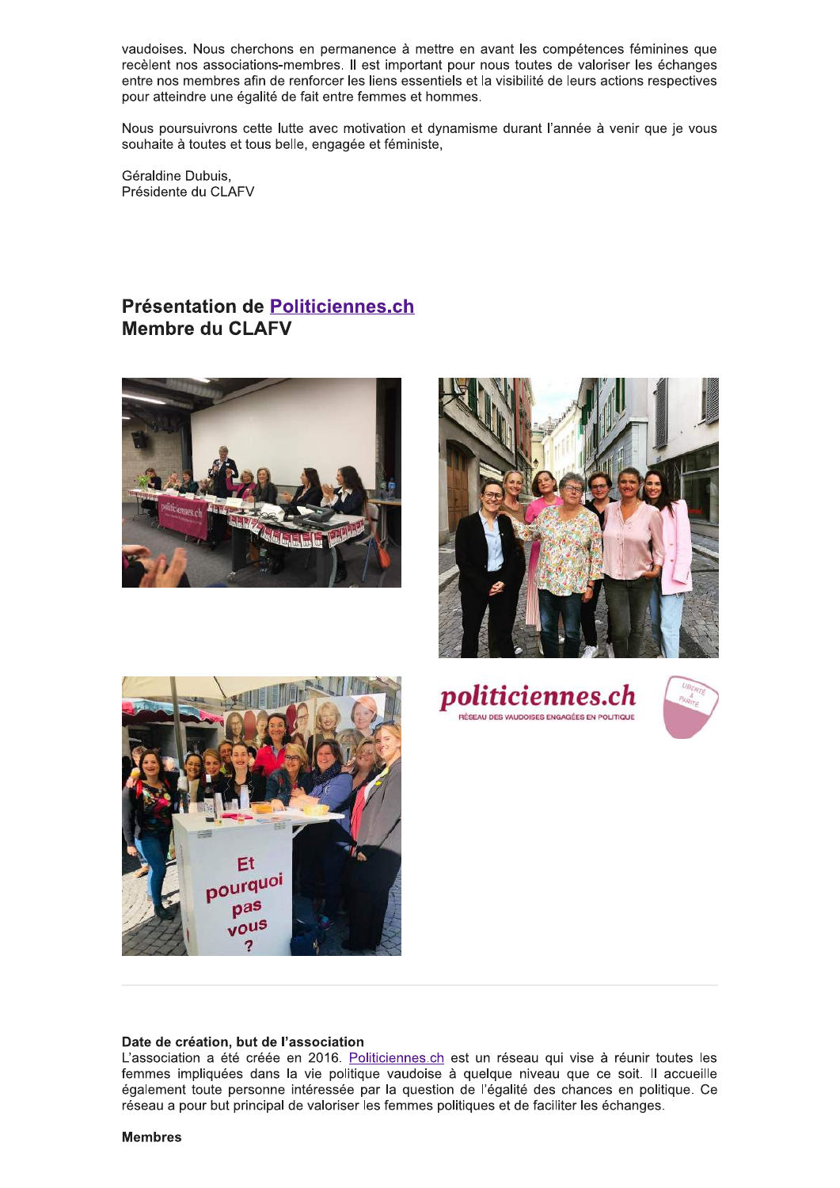vaudoises. Nous cherchons en permanence à mettre en avant les compétences féminines que recèlent nos associations-membres. Il est important pour nous toutes de valoriser les échanges entre nos membres afin de renforcer les liens essentiels et la visibilité de leurs actions respectives pour atteindre une égalité de fait entre femmes et hommes.

Nous poursuivrons cette lutte avec motivation et dynamisme durant l'année à venir que je vous souhaite à toutes et tous belle, engagée et féministe,

Géraldine Dubuis, Présidente du CLAFV

Présentation de Politiciennes.ch **Membre du CLAFV** 











### Date de création, but de l'association

L'association a été créée en 2016. Politiciennes.ch est un réseau qui vise à réunir toutes les femmes impliquées dans la vie politique vaudoise à quelque niveau que ce soit. Il accueille également toute personne intéressée par la question de l'égalité des chances en politique. Ce réseau a pour but principal de valoriser les femmes politiques et de faciliter les échanges.

#### **Membres**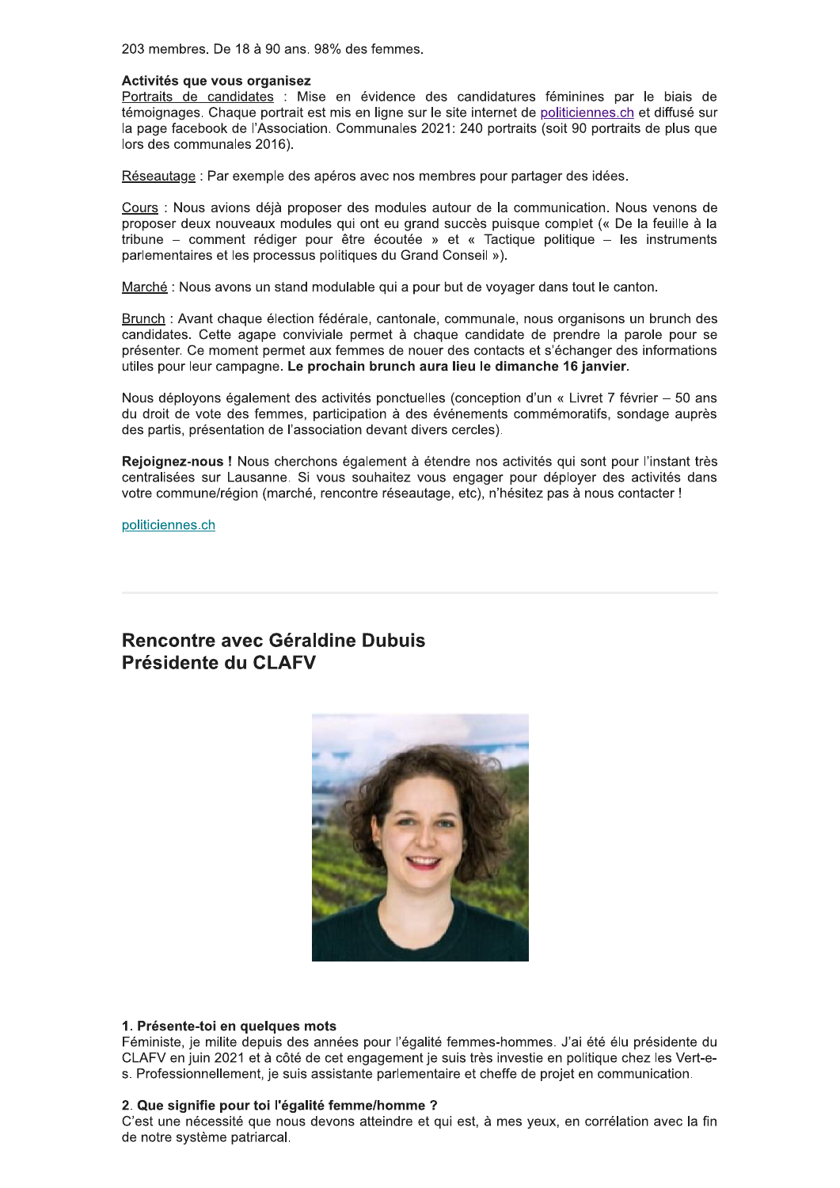203 membres. De 18 à 90 ans. 98% des femmes.

#### Activités que vous organisez

Portraits de candidates : Mise en évidence des candidatures féminines par le biais de témoignages. Chaque portrait est mis en ligne sur le site internet de politiciennes.ch et diffusé sur la page facebook de l'Association. Communales 2021: 240 portraits (soit 90 portraits de plus que lors des communales 2016).

Réseautage : Par exemple des apéros avec nos membres pour partager des idées.

Cours : Nous avions déjà proposer des modules autour de la communication. Nous venons de proposer deux nouveaux modules qui ont eu grand succès puisque complet (« De la feuille à la tribune - comment rédiger pour être écoutée » et « Tactique politique - les instruments parlementaires et les processus politiques du Grand Conseil »).

Marché : Nous avons un stand modulable qui a pour but de voyager dans tout le canton.

Brunch : Avant chaque élection fédérale, cantonale, communale, nous organisons un brunch des candidates. Cette agape conviviale permet à chaque candidate de prendre la parole pour se présenter. Ce moment permet aux femmes de nouer des contacts et s'échanger des informations utiles pour leur campagne. Le prochain brunch aura lieu le dimanche 16 janvier.

Nous déployons également des activités ponctuelles (conception d'un « Livret 7 février - 50 ans du droit de vote des femmes, participation à des événements commémoratifs, sondage auprès des partis, présentation de l'association devant divers cercles).

Rejoignez-nous ! Nous cherchons également à étendre nos activités qui sont pour l'instant très centralisées sur Lausanne. Si vous souhaitez vous engager pour déployer des activités dans votre commune/région (marché, rencontre réseautage, etc), n'hésitez pas à nous contacter !

politiciennes.ch

# Rencontre avec Géraldine Dubuis Présidente du CLAFV



#### 1. Présente-toi en quelques mots

Féministe, je milite depuis des années pour l'égalité femmes-hommes. J'ai été élu présidente du CLAFV en juin 2021 et à côté de cet engagement je suis très investie en politique chez les Vert-es. Professionnellement, je suis assistante parlementaire et cheffe de projet en communication.

#### 2. Que signifie pour toi l'égalité femme/homme ?

C'est une nécessité que nous devons atteindre et qui est, à mes yeux, en corrélation avec la fin de notre système patriarcal.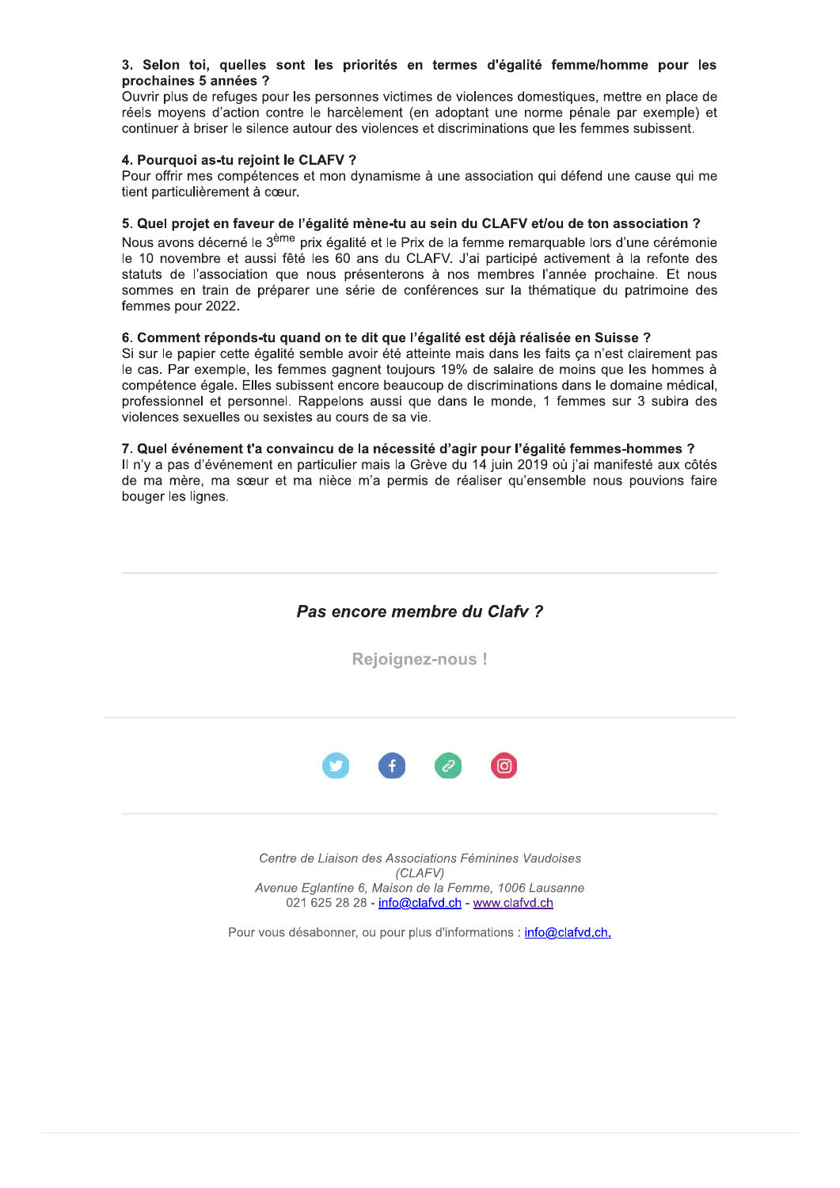#### 3. Selon toi, quelles sont les priorités en termes d'égalité femme/homme pour les prochaines 5 années ?

Ouvrir plus de refuges pour les personnes victimes de violences domestiques, mettre en place de réels moyens d'action contre le harcèlement (en adoptant une norme pénale par exemple) et continuer à briser le silence autour des violences et discriminations que les femmes subissent.

#### 4. Pourquoi as-tu rejoint le CLAFV ?

Pour offrir mes compétences et mon dynamisme à une association qui défend une cause qui me tient particulièrement à cœur.

#### 5. Quel projet en faveur de l'égalité mène-tu au sein du CLAFV et/ou de ton association ?

Nous avons décerné le 3<sup>ème</sup> prix égalité et le Prix de la femme remarquable lors d'une cérémonie le 10 novembre et aussi fêté les 60 ans du CLAFV. J'ai participé activement à la refonte des statuts de l'association que nous présenterons à nos membres l'année prochaine. Et nous sommes en train de préparer une série de conférences sur la thématique du patrimoine des femmes pour 2022.

#### 6. Comment réponds-tu quand on te dit que l'égalité est déjà réalisée en Suisse ?

Si sur le papier cette égalité semble avoir été atteinte mais dans les faits ca n'est clairement pas le cas. Par exemple, les femmes gagnent toujours 19% de salaire de moins que les hommes à compétence égale. Elles subissent encore beaucoup de discriminations dans le domaine médical, professionnel et personnel. Rappelons aussi que dans le monde. 1 femmes sur 3 subira des violences sexuelles ou sexistes au cours de sa vie.

#### 7. Quel événement t'a convaincu de la nécessité d'agir pour l'égalité femmes-hommes ?

Il n'v a pas d'événement en particulier mais la Grève du 14 juin 2019 où j'ai manifesté aux côtés de ma mère, ma sœur et ma nièce m'a permis de réaliser qu'ensemble nous pouvions faire bouger les lignes.

## Pas encore membre du Clafy?

Rejoignez-nous!



Centre de Liaison des Associations Féminines Vaudoises  $(CLAFV)$ Avenue Eglantine 6, Maison de la Femme, 1006 Lausanne 021 625 28 28 - info@clafvd.ch - www.clafvd.ch

Pour vous désabonner, ou pour plus d'informations : info@clafvd.ch.